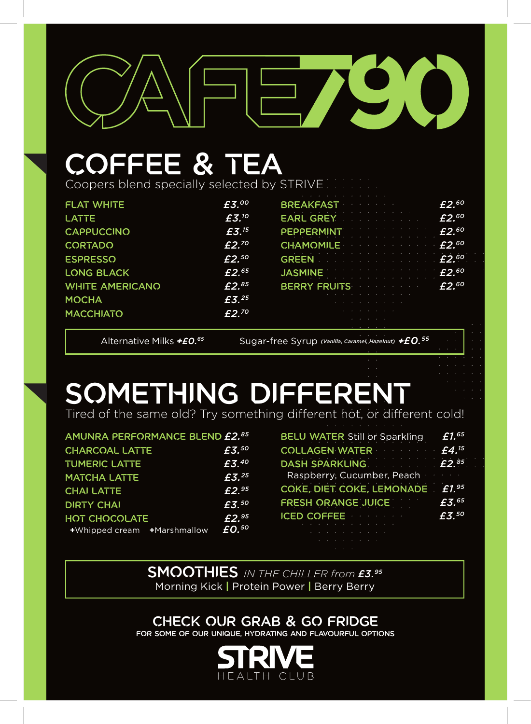

## coffee & tea

Coopers blend specially selected by STRIVE

| <b>FLAT WHITE</b>      | £3.00             | <b>BREAKFAST</b>                                                                                                                                                                                                                                                                                                                          | $f2^{60}$ |
|------------------------|-------------------|-------------------------------------------------------------------------------------------------------------------------------------------------------------------------------------------------------------------------------------------------------------------------------------------------------------------------------------------|-----------|
| <b>LATTE</b>           | $f{f}3.10$        | EARL GREY CONTROLL COMMUNIST F2. <sup>60</sup>                                                                                                                                                                                                                                                                                            |           |
| <b>CAPPUCCINO</b>      | £3. <sup>15</sup> | PEPPERMINT External Lines LE2.60                                                                                                                                                                                                                                                                                                          |           |
| <b>CORTADO</b>         | $E2^{.70}$        | CHAMOMILE 2.60                                                                                                                                                                                                                                                                                                                            |           |
| <b>ESPRESSO</b>        | $f2^{50}$         | GREEN $\cdots$ $\cdots$ $\cdots$ $\cdots$ $\cdots$ $\cdots$ $\cdots$ $\cdots$ $\cdots$ $\cdots$ $\cdots$ $\cdots$ $\cdots$ $\cdots$ $\cdots$ $\cdots$ $\cdots$ $\cdots$ $\cdots$ $\cdots$ $\cdots$ $\cdots$ $\cdots$ $\cdots$ $\cdots$ $\cdots$ $\cdots$ $\cdots$ $\cdots$ $\cdots$ $\cdots$ $\cdots$ $\cdots$ $\cdots$ $\cdots$ $\cdots$ |           |
| <b>LONG BLACK</b>      | $f2^{65}$         | JASMINE $E2.60$                                                                                                                                                                                                                                                                                                                           |           |
| <b>WHITE AMERICANO</b> | $f2^{85}$         | BERRY FRUITS E2. <sup>60</sup>                                                                                                                                                                                                                                                                                                            |           |
| <b>MOCHA</b>           | E3.25             |                                                                                                                                                                                                                                                                                                                                           |           |
| <b>MACCHIATO</b>       | $f2^{70}$         |                                                                                                                                                                                                                                                                                                                                           |           |
|                        |                   |                                                                                                                                                                                                                                                                                                                                           |           |

Alternative Milks *+£0.<sup>65</sup>* Sugar-free Syrup *(Vanilla, Caramel, Hazelnut)* +*£0.*<sup>55</sup>

## SOMETHING DIFFERENT

Tired of the same old? Try something different hot, or different cold!

| AMUNRA PERFORMANCE BLEND £2.85 |                  |
|--------------------------------|------------------|
| <b>CHARCOAL LATTE</b>          | £3.50            |
| <b>TUMERIC LATTE</b>           | E3,40            |
| <b>MATCHA LATTE</b>            | E3.25            |
| <b>CHAI LATTE</b>              | E2.95            |
| <b>DIRTY CHAI</b>              | E3,50            |
| <b>HOT CHOCOLATE</b>           | E2.95            |
|                                | EQ <sub>50</sub> |

| <b>BELU WATER Still or Sparkling</b> | £1.65             |
|--------------------------------------|-------------------|
| COLLAGEN WATER E4. <sup>15</sup>     |                   |
| DASH SPARKLING E2.85                 |                   |
| Raspberry, Cucumber, Peach           |                   |
| COKE, DIET COKE, LEMONADE            | £1. <sup>95</sup> |
| <b>FRESH ORANGE JUICE FRESH</b>      | £3.65             |
| <b>ICED COFFEE</b>                   | £3.50             |
|                                      |                   |
|                                      |                   |

smoothies *IN THE CHILLER from £3.95* Morning Kick **|** Protein Power **|** Berry Berry

check our grab & go fridge for some of our unique, hydrating and flavourful options